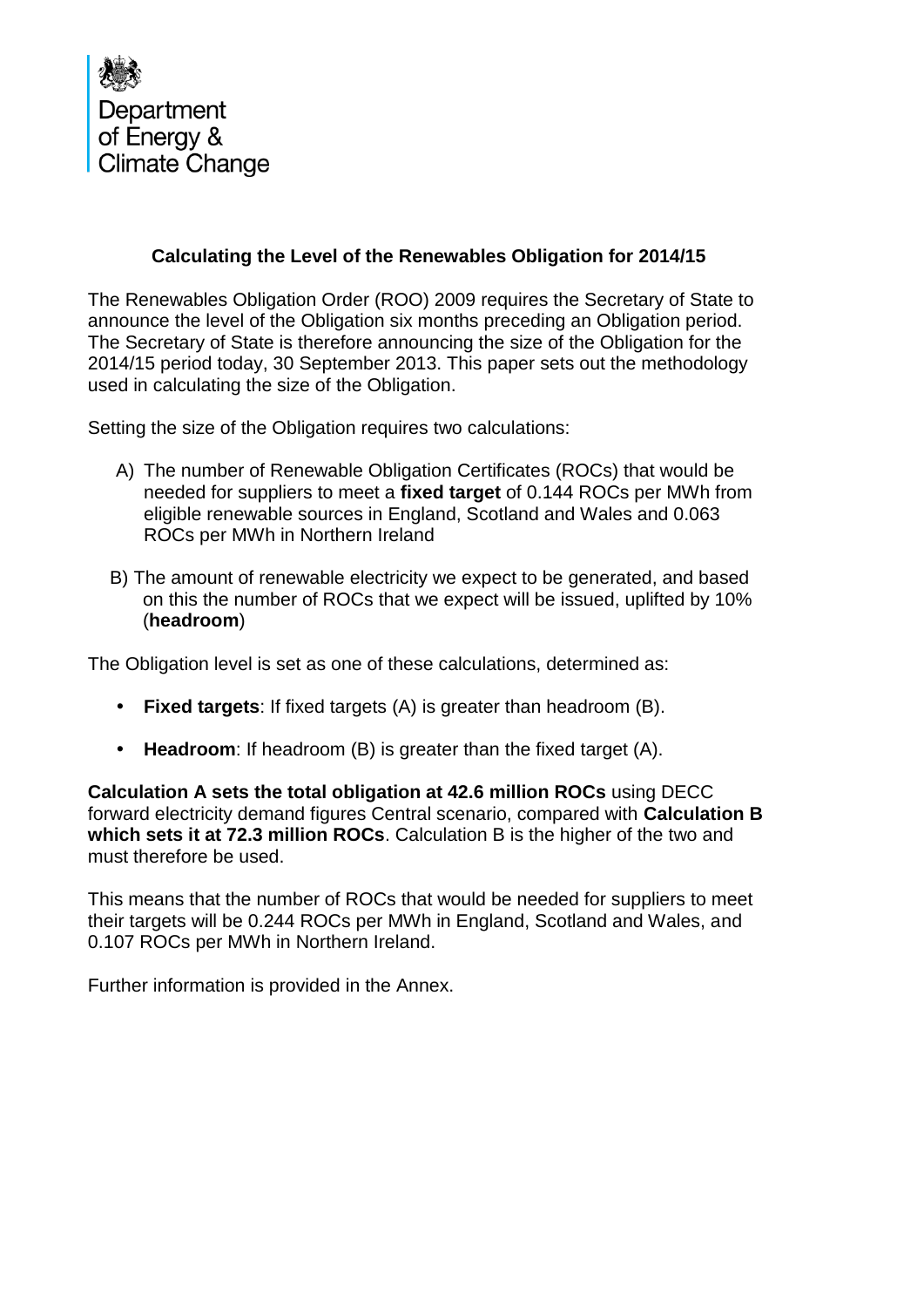

## **Calculating the Level of the Renewables Obligation for 2014/15**

The Renewables Obligation Order (ROO) 2009 requires the Secretary of State to announce the level of the Obligation six months preceding an Obligation period. The Secretary of State is therefore announcing the size of the Obligation for the 2014/15 period today, 30 September 2013. This paper sets out the methodology used in calculating the size of the Obligation.

Setting the size of the Obligation requires two calculations:

- A) The number of Renewable Obligation Certificates (ROCs) that would be needed for suppliers to meet a **fixed target** of 0.144 ROCs per MWh from eligible renewable sources in England, Scotland and Wales and 0.063 ROCs per MWh in Northern Ireland
- B) The amount of renewable electricity we expect to be generated, and based on this the number of ROCs that we expect will be issued, uplifted by 10% (**headroom**)

The Obligation level is set as one of these calculations, determined as:

- **Fixed targets**: If fixed targets (A) is greater than headroom (B).
- **Headroom**: If headroom (B) is greater than the fixed target (A).

**Calculation A sets the total obligation at 42.6 million ROCs** using DECC forward electricity demand figures Central scenario, compared with **Calculation B which sets it at 72.3 million ROCs**. Calculation B is the higher of the two and must therefore be used.

This means that the number of ROCs that would be needed for suppliers to meet their targets will be 0.244 ROCs per MWh in England, Scotland and Wales, and 0.107 ROCs per MWh in Northern Ireland.

Further information is provided in the Annex.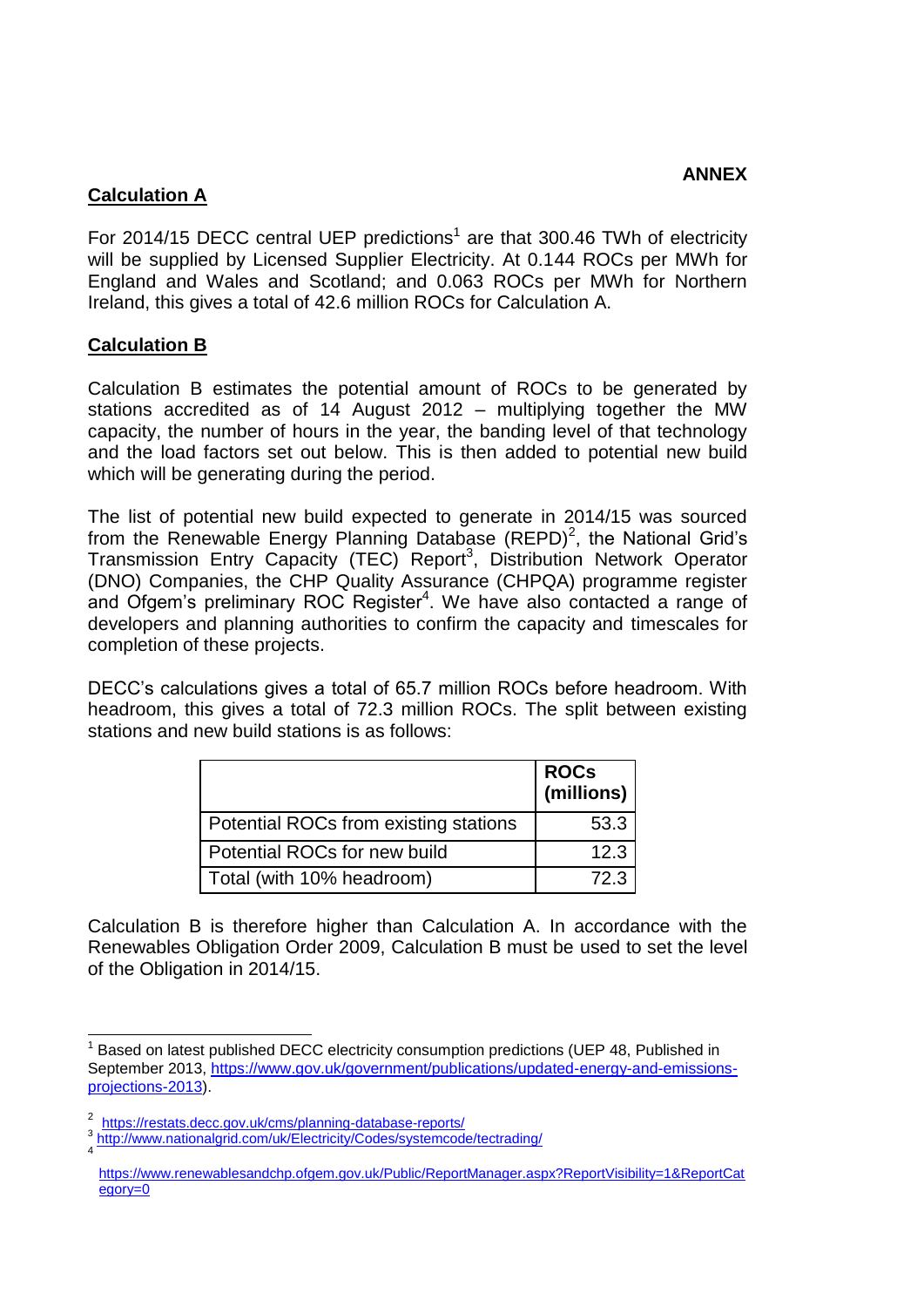## **Calculation A**

For 2014/15 DECC central UEP predictions<sup>1</sup> are that 300.46 TWh of electricity will be supplied by Licensed Supplier Electricity. At 0.144 ROCs per MWh for England and Wales and Scotland; and 0.063 ROCs per MWh for Northern Ireland, this gives a total of 42.6 million ROCs for Calculation A.

## **Calculation B**

Calculation B estimates the potential amount of ROCs to be generated by stations accredited as of 14 August 2012 – multiplying together the MW capacity, the number of hours in the year, the banding level of that technology and the load factors set out below. This is then added to potential new build which will be generating during the period.

The list of potential new build expected to generate in 2014/15 was sourced from the Renewable Energy Planning Database (REPD)<sup>2</sup>, the National Grid's Transmission Entry Capacity (TEC) Report<sup>3</sup>, Distribution Network Operator (DNO) Companies, the CHP Quality Assurance (CHPQA) programme register and Ofgem's preliminary ROC Register<sup>4</sup>. We have also contacted a range of developers and planning authorities to confirm the capacity and timescales for completion of these projects.

DECC's calculations gives a total of 65.7 million ROCs before headroom. With headroom, this gives a total of 72.3 million ROCs. The split between existing stations and new build stations is as follows:

|                                       | ROCs<br>  (millions) |
|---------------------------------------|----------------------|
| Potential ROCs from existing stations | 53.3                 |
| Potential ROCs for new build          | 12.3                 |
| Total (with 10% headroom)             | 72.3                 |

Calculation B is therefore higher than Calculation A. In accordance with the Renewables Obligation Order 2009, Calculation B must be used to set the level of the Obligation in 2014/15.

 $\overline{\phantom{a}}$ <sup>1</sup> Based on latest published DECC electricity consumption predictions (UEP 48, Published in September 2013, [https://www.gov.uk/government/publications/updated-energy-and-emissions](https://www.gov.uk/government/publications/updated-energy-and-emissions-projections-2013)[projections-2013\)](https://www.gov.uk/government/publications/updated-energy-and-emissions-projections-2013).

<sup>2</sup> <https://restats.decc.gov.uk/cms/planning-database-reports/>

<sup>&</sup>lt;sup>3</sup><http://www.nationalgrid.com/uk/Electricity/Codes/systemcode/tectrading/>

[https://www.renewablesandchp.ofgem.gov.uk/Public/ReportManager.aspx?ReportVisibility=1&ReportCat](https://www.renewablesandchp.ofgem.gov.uk/Public/ReportManager.aspx?ReportVisibility=1&ReportCategory=0) [egory=0](https://www.renewablesandchp.ofgem.gov.uk/Public/ReportManager.aspx?ReportVisibility=1&ReportCategory=0)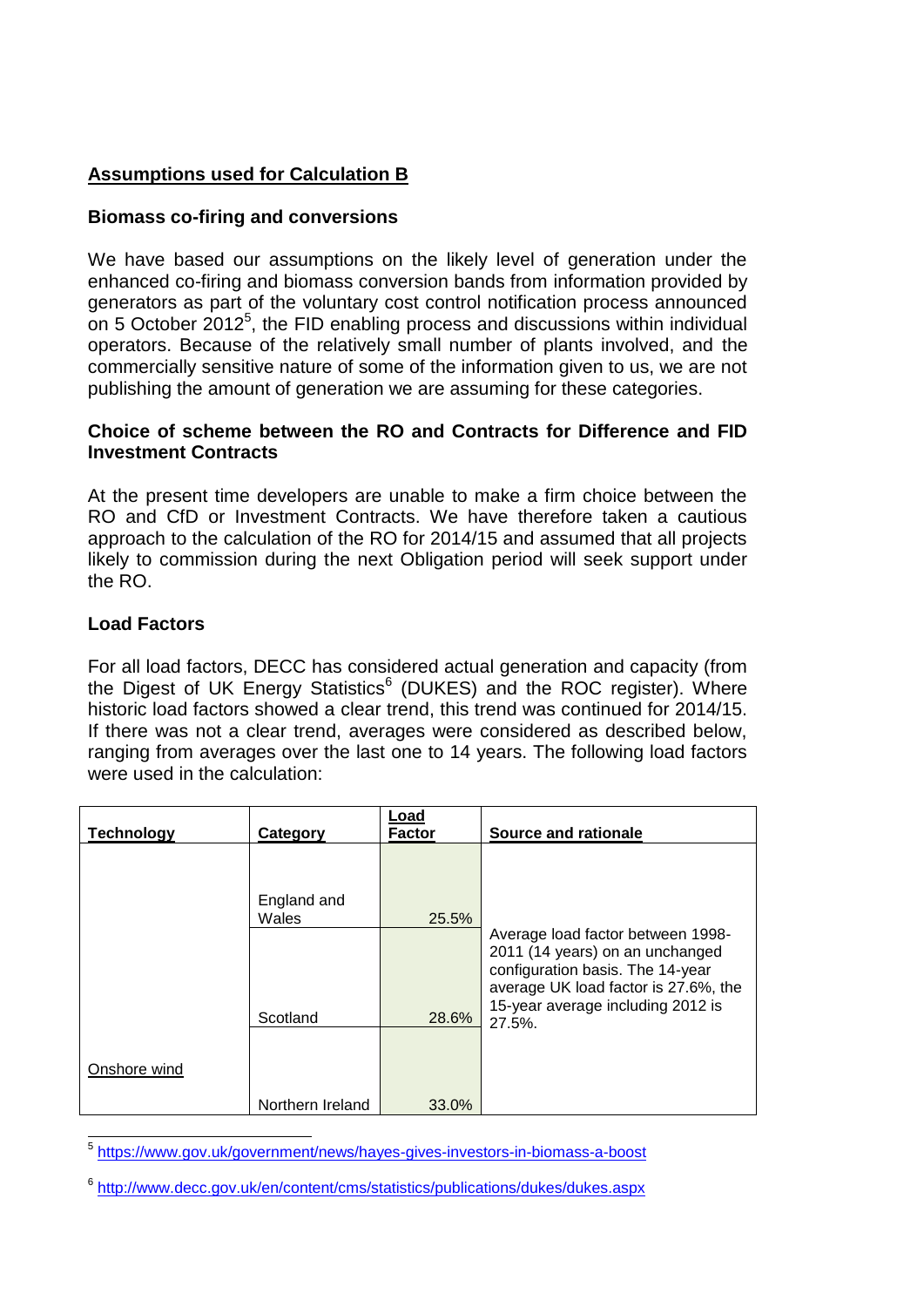# **Assumptions used for Calculation B**

### **Biomass co-firing and conversions**

We have based our assumptions on the likely level of generation under the enhanced co-firing and biomass conversion bands from information provided by generators as part of the voluntary cost control notification process announced on 5 October  $2012^5$ , the FID enabling process and discussions within individual operators. Because of the relatively small number of plants involved, and the commercially sensitive nature of some of the information given to us, we are not publishing the amount of generation we are assuming for these categories.

#### **Choice of scheme between the RO and Contracts for Difference and FID Investment Contracts**

At the present time developers are unable to make a firm choice between the RO and CfD or Investment Contracts. We have therefore taken a cautious approach to the calculation of the RO for 2014/15 and assumed that all projects likely to commission during the next Obligation period will seek support under the RO.

### **Load Factors**

For all load factors, DECC has considered actual generation and capacity (from the Digest of UK Energy Statistics<sup>6</sup> (DUKES) and the ROC register). Where historic load factors showed a clear trend, this trend was continued for 2014/15. If there was not a clear trend, averages were considered as described below, ranging from averages over the last one to 14 years. The following load factors were used in the calculation:

| <b>Technology</b> |                  | Load<br><b>Factor</b> | <b>Source and rationale</b>                                                                                                                                                                    |
|-------------------|------------------|-----------------------|------------------------------------------------------------------------------------------------------------------------------------------------------------------------------------------------|
|                   | Category         |                       |                                                                                                                                                                                                |
|                   |                  |                       |                                                                                                                                                                                                |
|                   | England and      |                       |                                                                                                                                                                                                |
|                   | Wales            | 25.5%                 |                                                                                                                                                                                                |
|                   | Scotland         | 28.6%                 | Average load factor between 1998-<br>2011 (14 years) on an unchanged<br>configuration basis. The 14-year<br>average UK load factor is 27.6%, the<br>15-year average including 2012 is<br>27.5% |
| Onshore wind      |                  |                       |                                                                                                                                                                                                |
|                   | Northern Ireland | 33.0%                 |                                                                                                                                                                                                |

 5 <https://www.gov.uk/government/news/hayes-gives-investors-in-biomass-a-boost>

<sup>6</sup> <http://www.decc.gov.uk/en/content/cms/statistics/publications/dukes/dukes.aspx>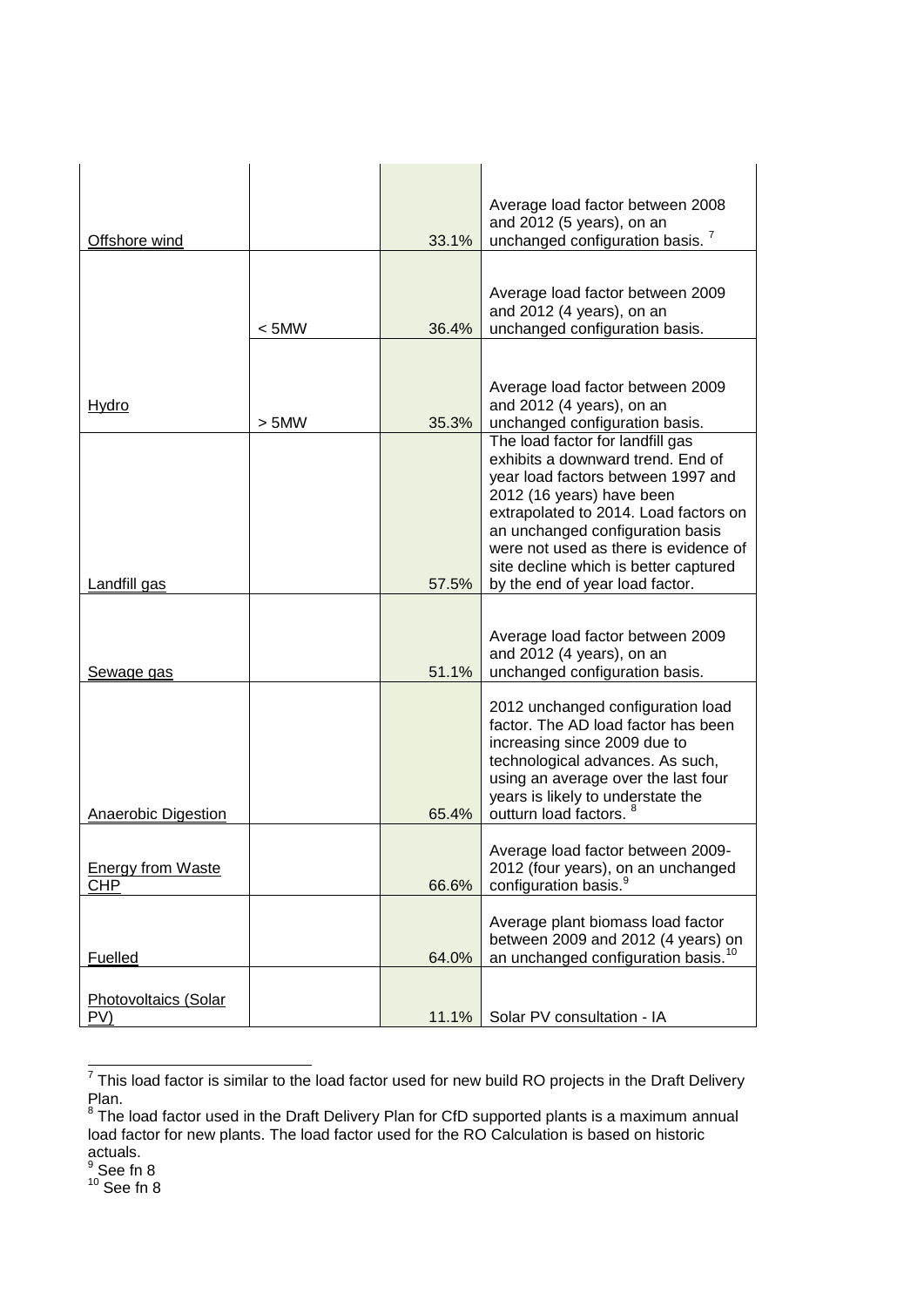|                             |         |       | Average load factor between 2008                                          |
|-----------------------------|---------|-------|---------------------------------------------------------------------------|
| Offshore wind               |         | 33.1% | and 2012 (5 years), on an<br>unchanged configuration basis. <sup>7</sup>  |
|                             |         |       |                                                                           |
|                             |         |       |                                                                           |
|                             |         |       | Average load factor between 2009                                          |
|                             |         | 36.4% | and 2012 (4 years), on an<br>unchanged configuration basis.               |
|                             | $<$ 5MW |       |                                                                           |
|                             |         |       |                                                                           |
|                             |         |       | Average load factor between 2009                                          |
| <u>Hydro</u>                |         |       | and 2012 (4 years), on an                                                 |
|                             | > 5MW   | 35.3% | unchanged configuration basis.                                            |
|                             |         |       | The load factor for landfill gas<br>exhibits a downward trend. End of     |
|                             |         |       | year load factors between 1997 and                                        |
|                             |         |       | 2012 (16 years) have been                                                 |
|                             |         |       | extrapolated to 2014. Load factors on                                     |
|                             |         |       | an unchanged configuration basis<br>were not used as there is evidence of |
|                             |         |       | site decline which is better captured                                     |
| Landfill gas                |         | 57.5% | by the end of year load factor.                                           |
|                             |         |       |                                                                           |
|                             |         |       |                                                                           |
|                             |         |       |                                                                           |
|                             |         |       | Average load factor between 2009                                          |
| Sewage gas                  |         | 51.1% | and 2012 (4 years), on an<br>unchanged configuration basis.               |
|                             |         |       |                                                                           |
|                             |         |       | 2012 unchanged configuration load                                         |
|                             |         |       | factor. The AD load factor has been                                       |
|                             |         |       | increasing since 2009 due to<br>technological advances. As such,          |
|                             |         |       | using an average over the last four                                       |
|                             |         |       | years is likely to understate the                                         |
| <b>Anaerobic Digestion</b>  |         | 65.4% | outturn load factors.                                                     |
|                             |         |       | Average load factor between 2009-                                         |
| <b>Energy from Waste</b>    |         |       | 2012 (four years), on an unchanged                                        |
| CHP                         |         | 66.6% | configuration basis. <sup>9</sup>                                         |
|                             |         |       |                                                                           |
|                             |         |       | Average plant biomass load factor<br>between 2009 and 2012 (4 years) on   |
| Fuelled                     |         | 64.0% | an unchanged configuration basis. <sup>10</sup>                           |
|                             |         |       |                                                                           |
| Photovoltaics (Solar<br>PV) |         | 11.1% | Solar PV consultation - IA                                                |

<sup>————————————————————&</sup>lt;br><sup>7</sup> This load factor is similar to the load factor used for new build RO projects in the Draft Delivery

actuals.<br><sup>9</sup> See fn 8

 $10$  See fn 8

Plan.<br><sup>8</sup> The load factor used in the Draft Delivery Plan for CfD supported plants is a maximum annual load factor for new plants. The load factor used for the RO Calculation is based on historic